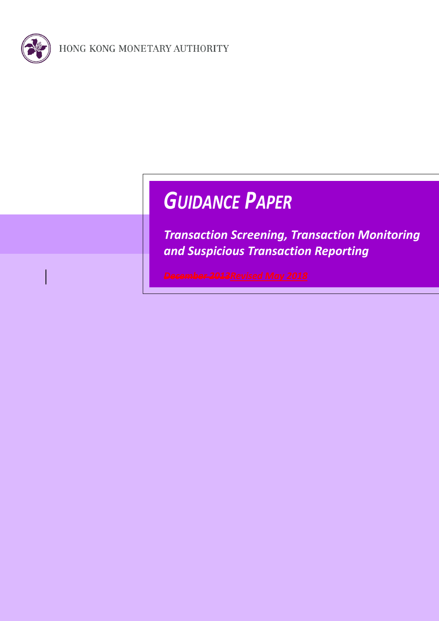

# *GUIDANCE PAPER*

*Transaction Screening, Transaction Monitoring and Suspicious Transaction Reporting*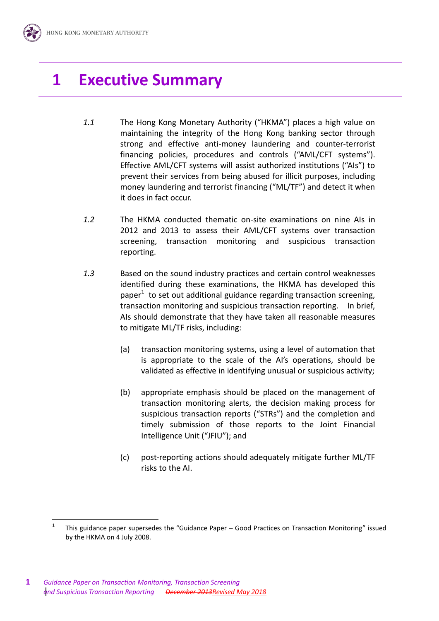### **1 Executive Summary**

- *1.1* The Hong Kong Monetary Authority ("HKMA") places a high value on maintaining the integrity of the Hong Kong banking sector through strong and effective anti-money laundering and counter-terrorist financing policies, procedures and controls ("AML/CFT systems"). Effective AML/CFT systems will assist authorized institutions ("AIs") to prevent their services from being abused for illicit purposes, including money laundering and terrorist financing ("ML/TF") and detect it when it does in fact occur.
- *1.2* The HKMA conducted thematic on-site examinations on nine AIs in 2012 and 2013 to assess their AML/CFT systems over transaction screening, transaction monitoring and suspicious transaction reporting.
- *1.3* Based on the sound industry practices and certain control weaknesses identified during these examinations, the HKMA has developed this paper $1$  to set out additional guidance regarding transaction screening, transaction monitoring and suspicious transaction reporting. In brief, AIs should demonstrate that they have taken all reasonable measures to mitigate ML/TF risks, including:
	- (a) transaction monitoring systems, using a level of automation that is appropriate to the scale of the AI's operations, should be validated as effective in identifying unusual or suspicious activity;
	- (b) appropriate emphasis should be placed on the management of transaction monitoring alerts, the decision making process for suspicious transaction reports ("STRs") and the completion and timely submission of those reports to the Joint Financial Intelligence Unit ("JFIU"); and
	- (c) post-reporting actions should adequately mitigate further ML/TF risks to the AI.

<sup>1</sup> This guidance paper supersedes the "Guidance Paper – Good Practices on Transaction Monitoring" issued by the HKMA on 4 July 2008.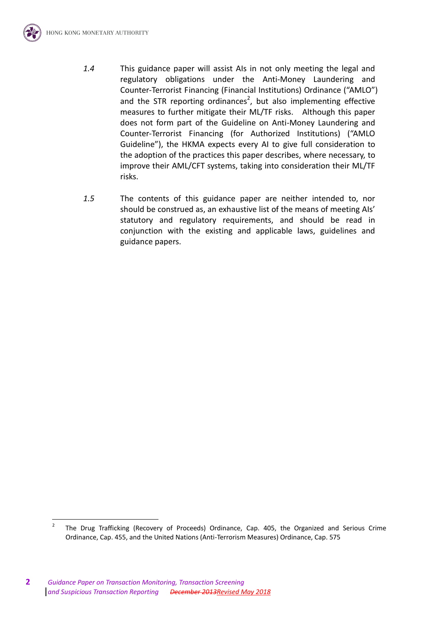

*1.5* The contents of this guidance paper are neither intended to, nor should be construed as, an exhaustive list of the means of meeting AIs' statutory and regulatory requirements, and should be read in conjunction with the existing and applicable laws, guidelines and guidance papers.

<sup>2</sup> The Drug Trafficking (Recovery of Proceeds) Ordinance, Cap. 405, the Organized and Serious Crime Ordinance, Cap. 455, and the United Nations (Anti-Terrorism Measures) Ordinance, Cap. 575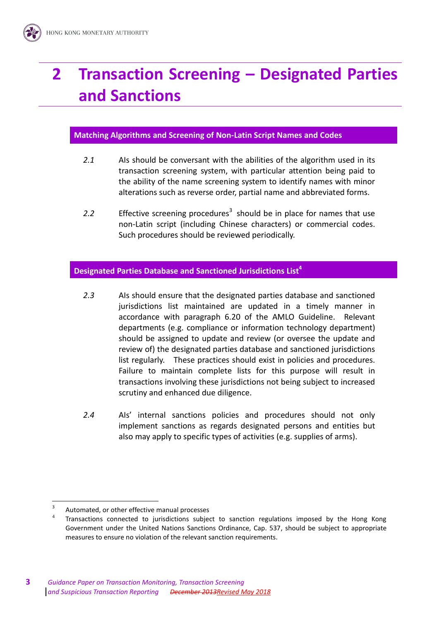## **2 Transaction Screening – Designated Parties and Sanctions**

#### **Matching Algorithms and Screening of Non-Latin Script Names and Codes**

- *2.1* AIs should be conversant with the abilities of the algorithm used in its transaction screening system, with particular attention being paid to the ability of the name screening system to identify names with minor alterations such as reverse order, partial name and abbreviated forms.
- 2.2 Effective screening procedures<sup>3</sup> should be in place for names that use non-Latin script (including Chinese characters) or commercial codes. Such procedures should be reviewed periodically.

### **Designated Parties Database and Sanctioned Jurisdictions List<sup>4</sup>**

- *2.3* AIs should ensure that the designated parties database and sanctioned jurisdictions list maintained are updated in a timely manner in accordance with paragraph 6.20 of the AMLO Guideline. Relevant departments (e.g. compliance or information technology department) should be assigned to update and review (or oversee the update and review of) the designated parties database and sanctioned jurisdictions list regularly. These practices should exist in policies and procedures. Failure to maintain complete lists for this purpose will result in transactions involving these jurisdictions not being subject to increased scrutiny and enhanced due diligence.
- *2.4* AIs' internal sanctions policies and procedures should not only implement sanctions as regards designated persons and entities but also may apply to specific types of activities (e.g. supplies of arms).

<sup>3</sup> Automated, or other effective manual processes

<sup>4</sup> Transactions connected to jurisdictions subject to sanction regulations imposed by the Hong Kong Government under the United Nations Sanctions Ordinance, Cap. 537, should be subject to appropriate measures to ensure no violation of the relevant sanction requirements.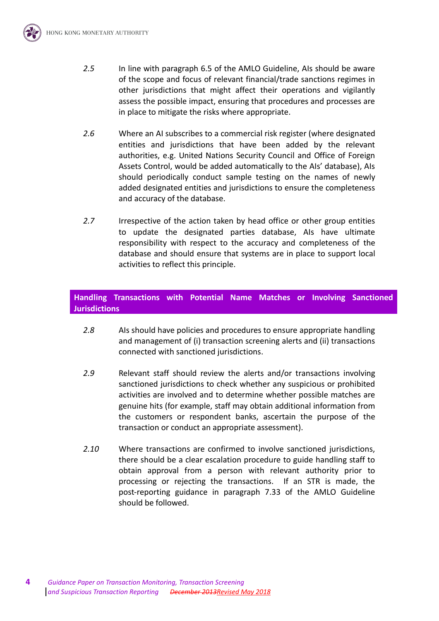

- *2.6* Where an AI subscribes to a commercial risk register (where designated entities and jurisdictions that have been added by the relevant authorities, e.g. United Nations Security Council and Office of Foreign Assets Control, would be added automatically to the AIs' database), AIs should periodically conduct sample testing on the names of newly added designated entities and jurisdictions to ensure the completeness and accuracy of the database.
- *2.7* Irrespective of the action taken by head office or other group entities to update the designated parties database, AIs have ultimate responsibility with respect to the accuracy and completeness of the database and should ensure that systems are in place to support local activities to reflect this principle.

### **Handling Transactions with Potential Name Matches or Involving Sanctioned Jurisdictions**

- *2.8* AIs should have policies and procedures to ensure appropriate handling and management of (i) transaction screening alerts and (ii) transactions connected with sanctioned jurisdictions.
- *2.9* Relevant staff should review the alerts and/or transactions involving sanctioned jurisdictions to check whether any suspicious or prohibited activities are involved and to determine whether possible matches are genuine hits (for example, staff may obtain additional information from the customers or respondent banks, ascertain the purpose of the transaction or conduct an appropriate assessment).
- *2.10* Where transactions are confirmed to involve sanctioned jurisdictions, there should be a clear escalation procedure to guide handling staff to obtain approval from a person with relevant authority prior to processing or rejecting the transactions. If an STR is made, the post-reporting guidance in paragraph 7.33 of the AMLO Guideline should be followed.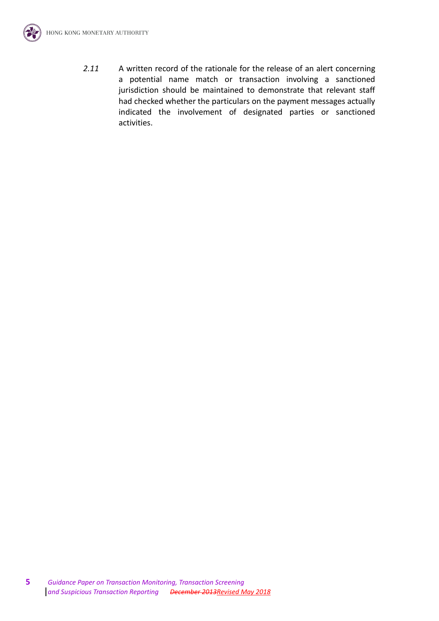

*2.11* A written record of the rationale for the release of an alert concerning a potential name match or transaction involving a sanctioned jurisdiction should be maintained to demonstrate that relevant staff had checked whether the particulars on the payment messages actually indicated the involvement of designated parties or sanctioned activities.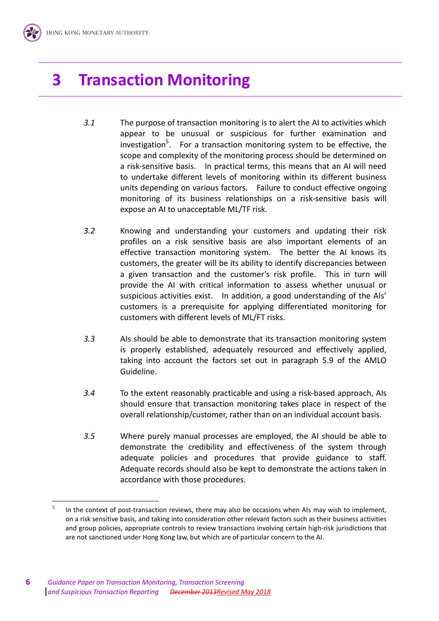## **3 Transaction Monitoring**

- *3.1* The purpose of transaction monitoring is to alert the AI to activities which appear to be unusual or suspicious for further examination and investigation<sup>5</sup>. For a transaction monitoring system to be effective, the scope and complexity of the monitoring process should be determined on a risk-sensitive basis. In practical terms, this means that an AI will need to undertake different levels of monitoring within its different business units depending on various factors. Failure to conduct effective ongoing monitoring of its business relationships on a risk-sensitive basis will expose an AI to unacceptable ML/TF risk.
- *3.2* Knowing and understanding your customers and updating their risk profiles on a risk sensitive basis are also important elements of an effective transaction monitoring system. The better the AI knows its customers, the greater will be its ability to identify discrepancies between a given transaction and the customer's risk profile. This in turn will provide the AI with critical information to assess whether unusual or suspicious activities exist. In addition, a good understanding of the AIs' customers is a prerequisite for applying differentiated monitoring for customers with different levels of ML/FT risks.
- *3.3* AIs should be able to demonstrate that its transaction monitoring system is properly established, adequately resourced and effectively applied, taking into account the factors set out in paragraph 5.9 of the AMLO Guideline.
- *3.4* To the extent reasonably practicable and using a risk-based approach, AIs should ensure that transaction monitoring takes place in respect of the overall relationship/customer, rather than on an individual account basis.
- *3.5* Where purely manual processes are employed, the AI should be able to demonstrate the credibility and effectiveness of the system through adequate policies and procedures that provide guidance to staff. Adequate records should also be kept to demonstrate the actions taken in accordance with those procedures.

<sup>5</sup> In the context of post-transaction reviews, there may also be occasions when AIs may wish to implement, on a risk sensitive basis, and taking into consideration other relevant factors such as their business activities and group policies, appropriate controls to review transactions involving certain high-risk jurisdictions that are not sanctioned under Hong Kong law, but which are of particular concern to the AI.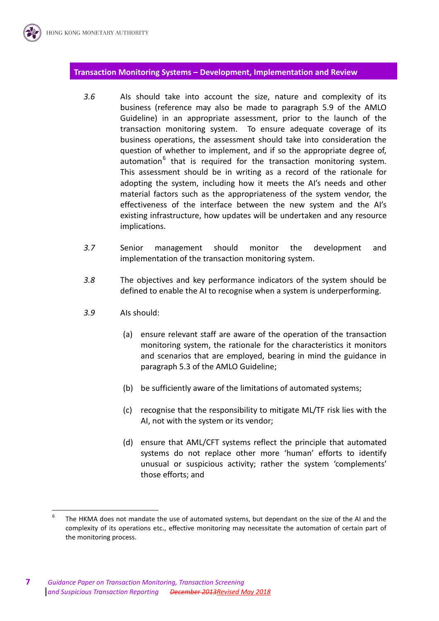#### **Transaction Monitoring Systems – Development, Implementation and Review**

- *3.6* AIs should take into account the size, nature and complexity of its business (reference may also be made to paragraph 5.9 of the AMLO Guideline) in an appropriate assessment, prior to the launch of the transaction monitoring system. To ensure adequate coverage of its business operations, the assessment should take into consideration the question of whether to implement, and if so the appropriate degree of, automation<sup>6</sup> that is required for the transaction monitoring system. This assessment should be in writing as a record of the rationale for adopting the system, including how it meets the AI's needs and other material factors such as the appropriateness of the system vendor, the effectiveness of the interface between the new system and the AI's existing infrastructure, how updates will be undertaken and any resource implications.
- *3.7* Senior management should monitor the development and implementation of the transaction monitoring system.
- *3.8* The objectives and key performance indicators of the system should be defined to enable the AI to recognise when a system is underperforming.
- *3.9* AIs should:
	- (a) ensure relevant staff are aware of the operation of the transaction monitoring system, the rationale for the characteristics it monitors and scenarios that are employed, bearing in mind the guidance in paragraph 5.3 of the AMLO Guideline;
	- (b) be sufficiently aware of the limitations of automated systems;
	- (c) recognise that the responsibility to mitigate ML/TF risk lies with the AI, not with the system or its vendor;
	- (d) ensure that AML/CFT systems reflect the principle that automated systems do not replace other more 'human' efforts to identify unusual or suspicious activity; rather the system 'complements' those efforts; and

<sup>-&</sup>lt;br>6 The HKMA does not mandate the use of automated systems, but dependant on the size of the AI and the complexity of its operations etc., effective monitoring may necessitate the automation of certain part of the monitoring process.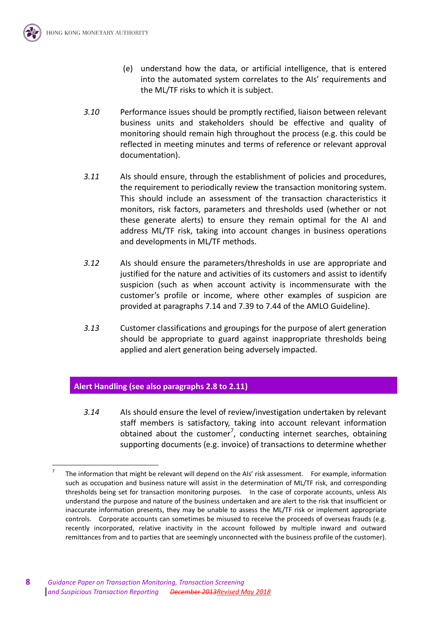

 $\overline{a}$ 

- (e) understand how the data, or artificial intelligence, that is entered into the automated system correlates to the AIs' requirements and the ML/TF risks to which it is subject.
- *3.10* Performance issues should be promptly rectified, liaison between relevant business units and stakeholders should be effective and quality of monitoring should remain high throughout the process (e.g. this could be reflected in meeting minutes and terms of reference or relevant approval documentation).
- *3.11* AIs should ensure, through the establishment of policies and procedures, the requirement to periodically review the transaction monitoring system. This should include an assessment of the transaction characteristics it monitors, risk factors, parameters and thresholds used (whether or not these generate alerts) to ensure they remain optimal for the AI and address ML/TF risk, taking into account changes in business operations and developments in ML/TF methods.
- *3.12* AIs should ensure the parameters/thresholds in use are appropriate and justified for the nature and activities of its customers and assist to identify suspicion (such as when account activity is incommensurate with the customer's profile or income, where other examples of suspicion are provided at paragraphs 7.14 and 7.39 to 7.44 of the AMLO Guideline).
- *3.13* Customer classifications and groupings for the purpose of alert generation should be appropriate to guard against inappropriate thresholds being applied and alert generation being adversely impacted.

### **Alert Handling (see also paragraphs 2.8 to 2.11)**

*3.14* AIs should ensure the level of review/investigation undertaken by relevant staff members is satisfactory, taking into account relevant information obtained about the customer<sup>7</sup>, conducting internet searches, obtaining supporting documents (e.g. invoice) of transactions to determine whether

<sup>7</sup> The information that might be relevant will depend on the AIs' risk assessment. For example, information such as occupation and business nature will assist in the determination of ML/TF risk, and corresponding thresholds being set for transaction monitoring purposes. In the case of corporate accounts, unless AIs understand the purpose and nature of the business undertaken and are alert to the risk that insufficient or inaccurate information presents, they may be unable to assess the ML/TF risk or implement appropriate controls. Corporate accounts can sometimes be misused to receive the proceeds of overseas frauds (e.g. recently incorporated, relative inactivity in the account followed by multiple inward and outward remittances from and to parties that are seemingly unconnected with the business profile of the customer).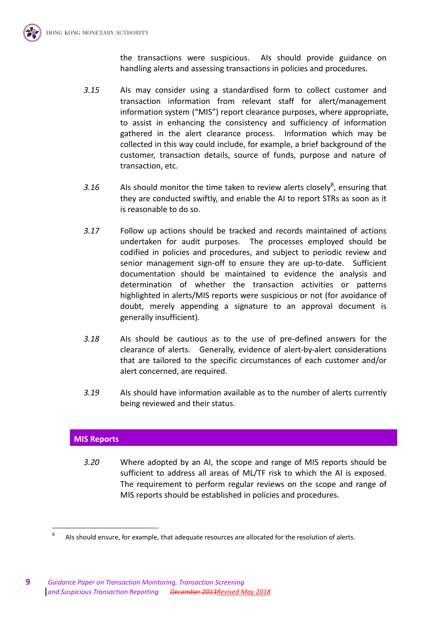the transactions were suspicious. AIs should provide guidance on handling alerts and assessing transactions in policies and procedures.

- *3.15* AIs may consider using a standardised form to collect customer and transaction information from relevant staff for alert/management information system ("MIS") report clearance purposes, where appropriate, to assist in enhancing the consistency and sufficiency of information gathered in the alert clearance process. Information which may be collected in this way could include, for example, a brief background of the customer, transaction details, source of funds, purpose and nature of transaction, etc.
- 3.16  $\blacksquare$  AIs should monitor the time taken to review alerts closely<sup>8</sup>, ensuring that they are conducted swiftly, and enable the AI to report STRs as soon as it is reasonable to do so.
- *3.17* Follow up actions should be tracked and records maintained of actions undertaken for audit purposes. The processes employed should be codified in policies and procedures, and subject to periodic review and senior management sign-off to ensure they are up-to-date. Sufficient documentation should be maintained to evidence the analysis and determination of whether the transaction activities or patterns highlighted in alerts/MIS reports were suspicious or not (for avoidance of doubt, merely appending a signature to an approval document is generally insufficient).
- *3.18* AIs should be cautious as to the use of pre-defined answers for the clearance of alerts. Generally, evidence of alert-by-alert considerations that are tailored to the specific circumstances of each customer and/or alert concerned, are required.
- *3.19* AIs should have information available as to the number of alerts currently being reviewed and their status.

### **MIS Reports**

 $\overline{a}$ 

*3.20* Where adopted by an AI, the scope and range of MIS reports should be sufficient to address all areas of ML/TF risk to which the AI is exposed. The requirement to perform regular reviews on the scope and range of MIS reports should be established in policies and procedures.

<sup>8</sup> AIs should ensure, for example, that adequate resources are allocated for the resolution of alerts.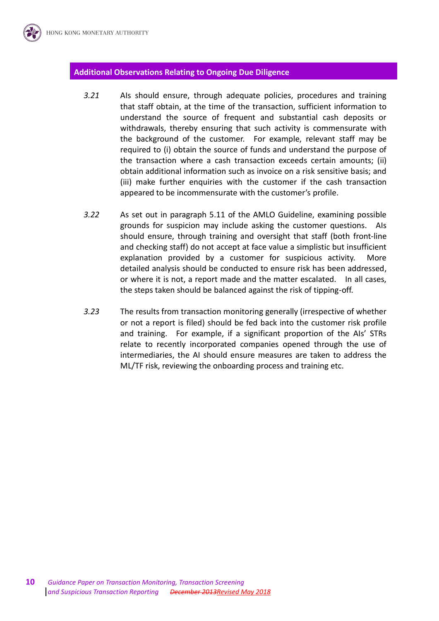#### **Additional Observations Relating to Ongoing Due Diligence**

- *3.21* AIs should ensure, through adequate policies, procedures and training that staff obtain, at the time of the transaction, sufficient information to understand the source of frequent and substantial cash deposits or withdrawals, thereby ensuring that such activity is commensurate with the background of the customer. For example, relevant staff may be required to (i) obtain the source of funds and understand the purpose of the transaction where a cash transaction exceeds certain amounts; (ii) obtain additional information such as invoice on a risk sensitive basis; and (iii) make further enquiries with the customer if the cash transaction appeared to be incommensurate with the customer's profile.
- *3.22* As set out in paragraph 5.11 of the AMLO Guideline, examining possible grounds for suspicion may include asking the customer questions. AIs should ensure, through training and oversight that staff (both front-line and checking staff) do not accept at face value a simplistic but insufficient explanation provided by a customer for suspicious activity. More detailed analysis should be conducted to ensure risk has been addressed, or where it is not, a report made and the matter escalated. In all cases, the steps taken should be balanced against the risk of tipping-off.
- *3.23* The results from transaction monitoring generally (irrespective of whether or not a report is filed) should be fed back into the customer risk profile and training. For example, if a significant proportion of the AIs' STRs relate to recently incorporated companies opened through the use of intermediaries, the AI should ensure measures are taken to address the ML/TF risk, reviewing the onboarding process and training etc.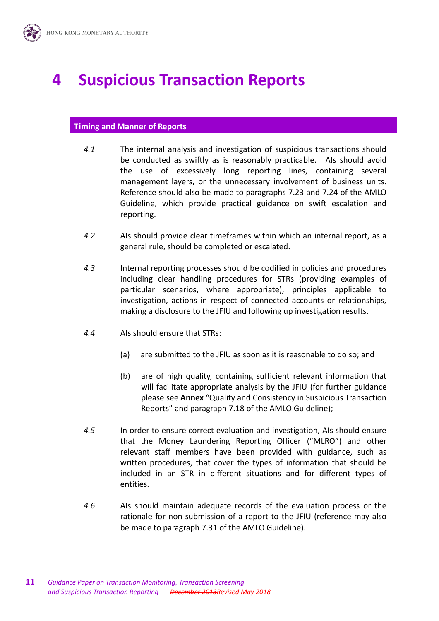## **4 Suspicious Transaction Reports**

### **Timing and Manner of Reports**

- *4.1* The internal analysis and investigation of suspicious transactions should be conducted as swiftly as is reasonably practicable. AIs should avoid the use of excessively long reporting lines, containing several management layers, or the unnecessary involvement of business units. Reference should also be made to paragraphs 7.23 and 7.24 of the AMLO Guideline, which provide practical guidance on swift escalation and reporting.
- *4.2* AIs should provide clear timeframes within which an internal report, as a general rule, should be completed or escalated.
- *4.3* Internal reporting processes should be codified in policies and procedures including clear handling procedures for STRs (providing examples of particular scenarios, where appropriate), principles applicable to investigation, actions in respect of connected accounts or relationships, making a disclosure to the JFIU and following up investigation results.
- *4.4* AIs should ensure that STRs:
	- (a) are submitted to the JFIU as soon as it is reasonable to do so; and
	- (b) are of high quality, containing sufficient relevant information that will facilitate appropriate analysis by the JFIU (for further guidance please see **Annex** "Quality and Consistency in Suspicious Transaction Reports" and paragraph 7.18 of the AMLO Guideline);
- *4.5* In order to ensure correct evaluation and investigation, AIs should ensure that the Money Laundering Reporting Officer ("MLRO") and other relevant staff members have been provided with guidance, such as written procedures, that cover the types of information that should be included in an STR in different situations and for different types of entities.
- *4.6* AIs should maintain adequate records of the evaluation process or the rationale for non-submission of a report to the JFIU (reference may also be made to paragraph 7.31 of the AMLO Guideline).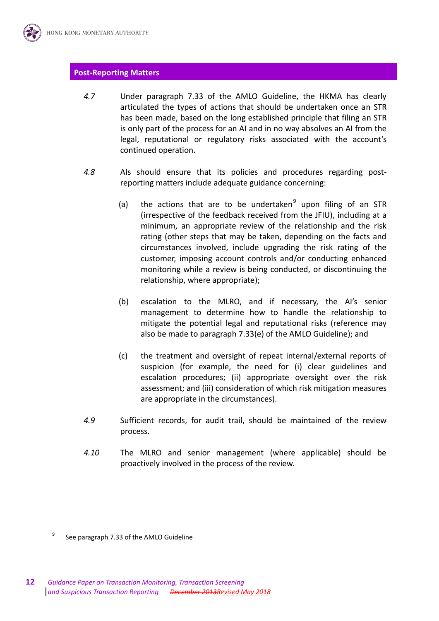#### **Post-Reporting Matters**

- *4.7* Under paragraph 7.33 of the AMLO Guideline, the HKMA has clearly articulated the types of actions that should be undertaken once an STR has been made, based on the long established principle that filing an STR is only part of the process for an AI and in no way absolves an AI from the legal, reputational or regulatory risks associated with the account's continued operation.
- *4.8* AIs should ensure that its policies and procedures regarding postreporting matters include adequate guidance concerning:
	- (a) the actions that are to be undertaken $9$  upon filing of an STR (irrespective of the feedback received from the JFIU), including at a minimum, an appropriate review of the relationship and the risk rating (other steps that may be taken, depending on the facts and circumstances involved, include upgrading the risk rating of the customer, imposing account controls and/or conducting enhanced monitoring while a review is being conducted, or discontinuing the relationship, where appropriate);
	- (b) escalation to the MLRO, and if necessary, the AI's senior management to determine how to handle the relationship to mitigate the potential legal and reputational risks (reference may also be made to paragraph 7.33(e) of the AMLO Guideline); and
	- (c) the treatment and oversight of repeat internal/external reports of suspicion (for example, the need for (i) clear guidelines and escalation procedures; (ii) appropriate oversight over the risk assessment; and (iii) consideration of which risk mitigation measures are appropriate in the circumstances).
- *4.9* Sufficient records, for audit trail, should be maintained of the review process.
- *4.10* The MLRO and senior management (where applicable) should be proactively involved in the process of the review.

<sup>9</sup> See paragraph 7.33 of the AMLO Guideline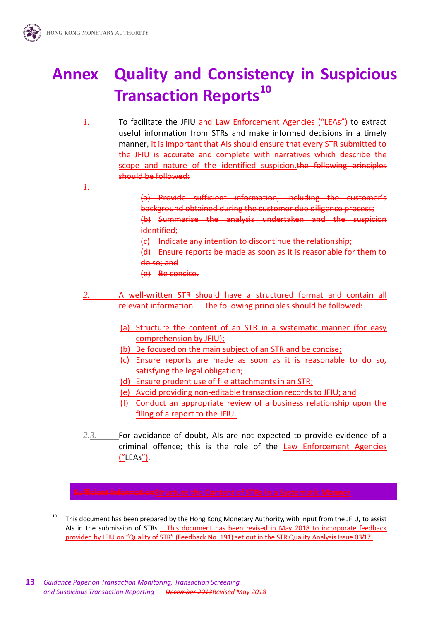*1.*

## **Annex Quality and Consistency in Suspicious Transaction Reports<sup>10</sup>**

- *1.* To facilitate the JFIU and Law Enforcement Agencies ("LEAs") to extract useful information from STRs and make informed decisions in a timely manner, it is important that AIs should ensure that every STR submitted to the JFIU is accurate and complete with narratives which describe the scope and nature of the identified suspicion. the following principles should be followed:
	- (a) Provide sufficient information, including the customer's background obtained during the customer due diligence process;  $(h)$  Summarise the analysis undertaken and identified;
	- (c) Indicate any intention to discontinue the relationship;
	- (d) Ensure reports be made as soon as it is reasonable for them to do so; and
	- (e) Be concise.
	- *2.* A well-written STR should have a structured format and contain all relevant information. The following principles should be followed:
		- (a) Structure the content of an STR in a systematic manner (for easy comprehension by JFIU);
		- (b) Be focused on the main subject of an STR and be concise;
		- (c) Ensure reports are made as soon as it is reasonable to do so, satisfying the legal obligation;
		- (d) Ensure prudent use of file attachments in an STR;
		- (e) Avoid providing non-editable transaction records to JFIU; and
		- (f) Conduct an appropriate review of a business relationship upon the filing of a report to the JFIU.
	- *2.3.* For avoidance of doubt, AIs are not expected to provide evidence of a criminal offence; this is the role of the Law Enforcement Agencies ("LEAs").

 $\overline{a}$ <sup>10</sup> This document has been prepared by the Hong Kong Monetary Authority, with input from the JFIU, to assist AIs in the submission of STRs. This document has been revised in May 2018 to incorporate feedback provided by JFIU on "Quality of STR" (Feedback No. 191) set out in the STR Quality Analysis Issue 03/17.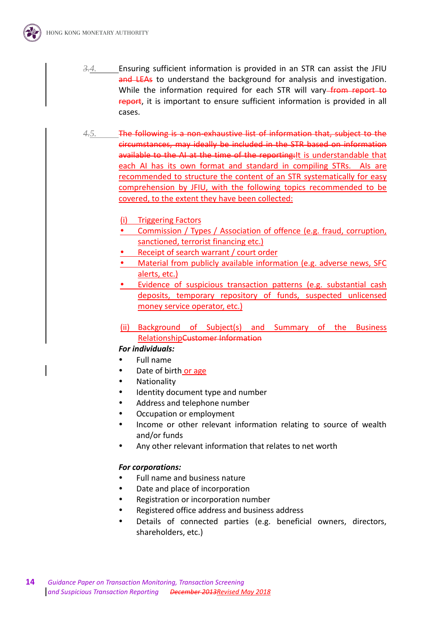

- *3.4.* Ensuring sufficient information is provided in an STR can assist the JFIU and LEAs to understand the background for analysis and investigation. While the information required for each STR will vary–from report to report, it is important to ensure sufficient information is provided in all cases.
- *4.5.* The following is a non-exhaustive list of information that, subject to the circumstances, may ideally be included in the STR based on information available to the AI at the time of the reporting: It is understandable that each AI has its own format and standard in compiling STRs. AIs are recommended to structure the content of an STR systematically for easy comprehension by JFIU, with the following topics recommended to be covered, to the extent they have been collected:
	- (i) Triggering Factors
	- Commission / Types / Association of offence (e.g. fraud, corruption, sanctioned, terrorist financing etc.)
	- Receipt of search warrant / court order
	- Material from publicly available information (e.g. adverse news, SFC alerts, etc.)
	- Evidence of suspicious transaction patterns (e.g. substantial cash deposits, temporary repository of funds, suspected unlicensed money service operator, etc.)
	- (ii) Background of Subject(s) and Summary of the Business RelationshipCustomer Information

#### *For individuals:*

- Full name
- Date of birth or age
- Nationality
- Identity document type and number
- Address and telephone number
- Occupation or employment
- Income or other relevant information relating to source of wealth and/or funds
- Any other relevant information that relates to net worth

#### *For corporations:*

- Full name and business nature
- Date and place of incorporation
- Registration or incorporation number
- Registered office address and business address
- Details of connected parties (e.g. beneficial owners, directors, shareholders, etc.)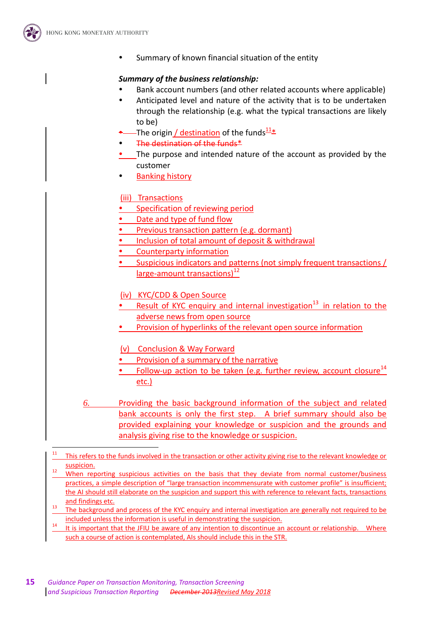

 $\overline{a}$ 

• Summary of known financial situation of the entity

#### *Summary of the business relationship:*

- Bank account numbers (and other related accounts where applicable)
- Anticipated level and nature of the activity that is to be undertaken through the relationship (e.g. what the typical transactions are likely to be)
- -The origin / destination of the funds $\frac{11*}{2}$
- The destination of the funds\*
- The purpose and intended nature of the account as provided by the customer
- Banking history

#### (iii) Transactions

- Specification of reviewing period
- Date and type of fund flow
- Previous transaction pattern (e.g. dormant)
- Inclusion of total amount of deposit & withdrawal
- Counterparty information
- Suspicious indicators and patterns (not simply frequent transactions / large-amount transactions)<sup>12</sup>
- (iv) KYC/CDD & Open Source
- Result of KYC enquiry and internal investigation<sup>13</sup> in relation to the adverse news from open source
- Provision of hyperlinks of the relevant open source information
- (v) Conclusion & Way Forward
- Provision of a summary of the narrative
- Follow-up action to be taken (e.g. further review, account closure<sup>14</sup> etc.)
- *6.* Providing the basic background information of the subject and related bank accounts is only the first step. A brief summary should also be provided explaining your knowledge or suspicion and the grounds and analysis giving rise to the knowledge or suspicion.

- $12$  When reporting suspicious activities on the basis that they deviate from normal customer/business practices, a simple description of "large transaction incommensurate with customer profile" is insufficient; the AI should still elaborate on the suspicion and support this with reference to relevant facts, transactions and findings etc.
- <sup>13</sup> The background and process of the KYC enquiry and internal investigation are generally not required to be included unless the information is useful in demonstrating the suspicion.
- It is important that the JFIU be aware of any intention to discontinue an account or relationship. Where such a course of action is contemplated, AIs should include this in the STR.

<sup>&</sup>lt;sup>11</sup> This refers to the funds involved in the transaction or other activity giving rise to the relevant knowledge or suspicion.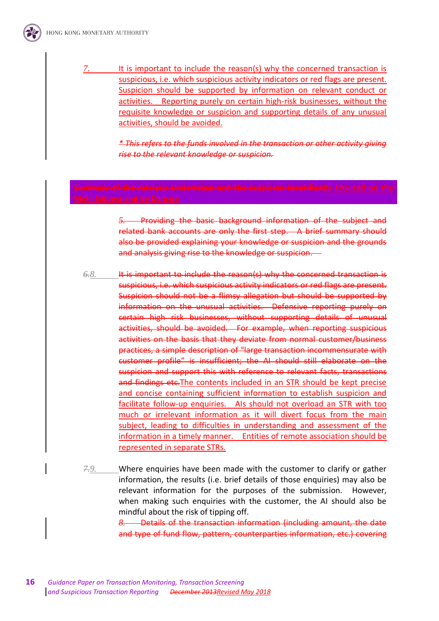*7.* It is important to include the reason(s) why the concerned transaction is suspicious, i.e. which suspicious activity indicators or red flags are present. Suspicion should be supported by information on relevant conduct or activities. Reporting purely on certain high-risk businesses, without the requisite knowledge or suspicion and supporting details of any unusual activities, should be avoided.

> *\* This refers to the funds involved in the transaction or other activity giving rise to the relevant knowledge or suspicion.*

*5.* Providing the basic background information of the subject and related bank accounts are only the first step. A brief summary should also be provided explaining your knowledge or suspicion and the grounds and analysis giving rise to the knowledge or suspicion.

*6.8.* It is important to include the reason(s) why the concerned transaction is suspicious, i.e. which suspicious activity indicators or red flags are present. Suspicion should not be a flimsy allegation but should be supported by information on the unusual activities. Defensive reporting purely on certain high risk businesses, without supporting details of unusual activities, should be avoided. For example, when reporting suspicious activities on the basis that they deviate from normal customer/business practices, a simple description of "large transaction incommensurate with customer profile" is insufficient; the AI should still elaborate on the suspicion and support this with reference to relevant facts, transactions and findings etc. The contents included in an STR should be kept precise and concise containing sufficient information to establish suspicion and facilitate follow-up enquiries. AIs should not overload an STR with too much or irrelevant information as it will divert focus from the main subject, leading to difficulties in understanding and assessment of the information in a timely manner. Entities of remote association should be represented in separate STRs.

*7.9.* Where enquiries have been made with the customer to clarify or gather information, the results (i.e. brief details of those enquiries) may also be relevant information for the purposes of the submission. However, when making such enquiries with the customer, the AI should also be mindful about the risk of tipping off.

*8.* Details of the transaction information (including amount, the date and type of fund flow, pattern, counterparties information, etc.) covering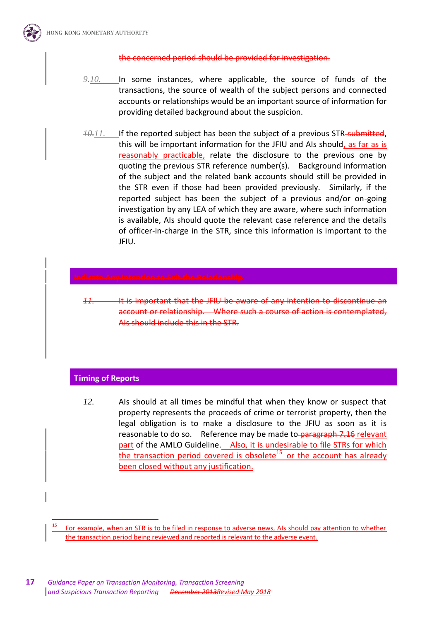

#### the concerned period should be provided for investigation.

- *9.10.* In some instances, where applicable, the source of funds of the transactions, the source of wealth of the subject persons and connected accounts or relationships would be an important source of information for providing detailed background about the suspicion.
- *10.11.* If the reported subject has been the subject of a previous STR-submitted, this will be important information for the JFIU and AIs should, as far as is reasonably practicable, relate the disclosure to the previous one by quoting the previous STR reference number(s). Background information of the subject and the related bank accounts should still be provided in the STR even if those had been provided previously. Similarly, if the reported subject has been the subject of a previous and/or on-going investigation by any LEA of which they are aware, where such information is available, AIs should quote the relevant case reference and the details of officer-in-charge in the STR, since this information is important to the JFIU.

*11.* It is important that the JFIU be aware of any intention to discontinue an account or relationship. Where such a course of action is contemplated, AIs should include this in the STR.

#### **Timing of Reports**

 $\overline{a}$ 

*12.* AIs should at all times be mindful that when they know or suspect that property represents the proceeds of crime or terrorist property, then the legal obligation is to make a disclosure to the JFIU as soon as it is reasonable to do so. Reference may be made to paragraph 7.16 relevant part of the AMLO Guideline. Also, it is undesirable to file STRs for which the transaction period covered is obsolete<sup>15</sup> or the account has already been closed without any justification.

<sup>15</sup> For example, when an STR is to be filed in response to adverse news, AIs should pay attention to whether the transaction period being reviewed and reported is relevant to the adverse event.